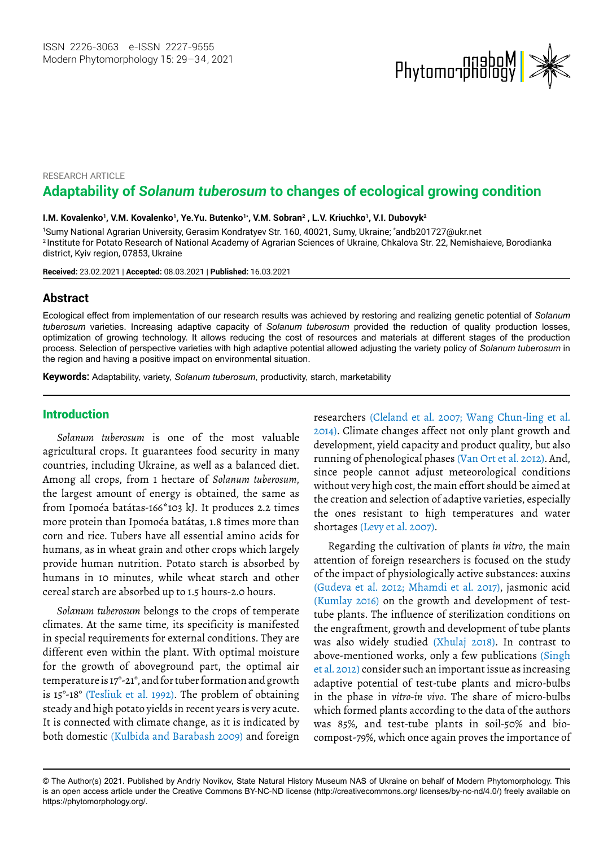

#### RESEARCH ARTICLE

# **Adaptability of** *Solanum tuberosum* **to changes of ecological growing condition**

I.M. Kovalenko', V.M. Kovalenko', Ye.Yu. Butenko'\*, V.M. Sobran<sup>2</sup> , L.V. Kriuchko', V.I. Dubovyk<sup>2</sup>

1 Sumy National Agrarian University, Gerasim Kondratyev Str. 160, 40021, Sumy, Ukraine; \* [andb201727@ukr.net](file:///C:\Users\ruhi_b\AppData\Local\Microsoft\Windows\INetCache\Content.Outlook\TMW6YN4L\andb201727@ukr.net) 2 Institute for Potato Research of National Academy of Agrarian Sciences of Ukraine, Chkalova Str. 22, Nemishaieve, Borodianka district, Kyiv region, 07853, Ukraine

**Received:** 23.02.2021 | **Accepted:** 08.03.2021 | **Published:** 16.03.2021

## **Abstract**

Ecological effect from implementation of our research results was achieved by restoring and realizing genetic potential of *Solanum tuberosum* varieties. Increasing adaptive capacity of *Solanum tuberosum* provided the reduction of quality production losses, optimization of growing technology. It allows reducing the cost of resources and materials at different stages of the production process. Selection of perspective varieties with high adaptive potential allowed adjusting the variety policy of *Solanum tuberosum* in the region and having a positive impact on environmental situation.

**Keywords:** Adaptability, variety, *Solanum tuberosum*, productivity, starch, marketability *.*

# Introduction

*Solanum tuberosum* is one of the most valuable agricultural crops. It guarantees food security in many countries, including Ukraine, as well as a balanced diet. Among all crops, from 1 hectare of *Solanum tuberosum*, the largest amount of energy is obtained, the same as from Ipomoéa batátas-166\*103 kJ. It produces 2.2 times more protein than Ipomoéa batátas, 1.8 times more than corn and rice. Tubers have all essential amino acids for humans, as in wheat grain and other crops which largely provide human nutrition. Potato starch is absorbed by humans in 10 minutes, while wheat starch and other cereal starch are absorbed up to 1.5 hours-2.0 hours.

*Solanum tuberosum* belongs to the crops of temperate climates. At the same time, its specificity is manifested in special requirements for external conditions. They are different even within the plant. With optimal moisture for the growth of aboveground part, the optimal air temperature is 17°-21°, and for tuber formation and growth is 15°-18° (Tesliuk et al. 1992). The problem of obtaining steady and high potato yields in recent years is very acute. It is connected with climate change, as it is indicated by both domestic (Kulbida and Barabash 2009) and foreign

researchers (Cleland et al. 2007; Wang Chun-ling et al. 2014). Climate changes affect not only plant growth and development, yield capacity and product quality, but also running of phenological phases (Van Ort et al. 2012). And, since people cannot adjust meteorological conditions without very high cost, the main effort should be aimed at the creation and selection of adaptive varieties, especially the ones resistant to high temperatures and water shortages (Levy et al. 2007).

Regarding the cultivation of plants *in vitro*, the main attention of foreign researchers is focused on the study of the impact of physiologically active substances: auxins (Gudeva et al. 2012; Mhamdi et al. 2017), jasmonic acid (Kumlay 2016) on the growth and development of testtube plants. The influence of sterilization conditions on the engraftment, growth and development of tube plants was also widely studied (Xhulaj 2018). In contrast to above-mentioned works, only a few publications (Singh et al. 2012) consider such an important issue as increasing adaptive potential of test-tube plants and micro-bulbs in the phase in *vitro-in vivo*. The share of micro-bulbs which formed plants according to the data of the authors was 85%, and test-tube plants in soil-50% and biocompost-79%, which once again proves the importance of

<sup>©</sup> The Author(s) 2021. Published by Andriy Novikov, State Natural History Museum NAS of Ukraine on behalf of Modern Phytomorphology. This is an open access article under the Creative Commons BY-NC-ND license (http://creativecommons.org/ licenses/by-nc-nd/4.0/) freely available on https://phytomorphology.org/.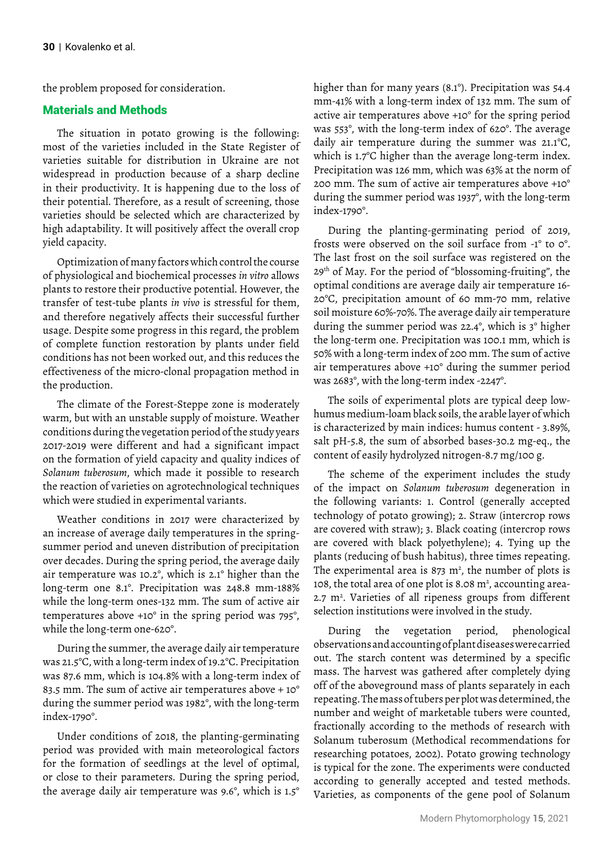the problem proposed for consideration.

# Materials and Methods

The situation in potato growing is the following: most of the varieties included in the State Register of varieties suitable for distribution in Ukraine are not widespread in production because of a sharp decline in their productivity. It is happening due to the loss of their potential. Therefore, as a result of screening, those varieties should be selected which are characterized by high adaptability. It will positively affect the overall crop yield capacity.

Optimization of many factors which control the course of physiological and biochemical processes *in vitro* allows plants to restore their productive potential. However, the transfer of test-tube plants *in vivo* is stressful for them, and therefore negatively affects their successful further usage. Despite some progress in this regard, the problem of complete function restoration by plants under field conditions has not been worked out, and this reduces the effectiveness of the micro-clonal propagation method in the production.

The climate of the Forest-Steppe zone is moderately warm, but with an unstable supply of moisture. Weather conditions during the vegetation period of the study years 2017-2019 were different and had a significant impact on the formation of yield capacity and quality indices of *Solanum tuberosum*, which made it possible to research the reaction of varieties on agrotechnological techniques which were studied in experimental variants.

Weather conditions in 2017 were characterized by an increase of average daily temperatures in the springsummer period and uneven distribution of precipitation over decades. During the spring period, the average daily air temperature was 10.2°, which is 2.1° higher than the long-term one 8.1°. Precipitation was 248.8 mm-188% while the long-term ones-132 mm. The sum of active air temperatures above +10° in the spring period was 795°, while the long-term one-620°.

During the summer, the average daily air temperature was 21.5°C, with a long-term index of 19.2°C. Precipitation was 87.6 mm, which is 104.8% with a long-term index of 83.5 mm. The sum of active air temperatures above + 10° during the summer period was 1982°, with the long-term index-1790°.

Under conditions of 2018, the planting-germinating period was provided with main meteorological factors for the formation of seedlings at the level of optimal, or close to their parameters. During the spring period, the average daily air temperature was 9.6°, which is 1.5°

higher than for many years (8.1°). Precipitation was 54.4 mm-41% with a long-term index of 132 mm. The sum of active air temperatures above +10° for the spring period was 553°, with the long-term index of 620°. The average daily air temperature during the summer was 21.1°C, which is 1.7°C higher than the average long-term index. Precipitation was 126 mm, which was 63% at the norm of 200 mm. The sum of active air temperatures above +10° during the summer period was 1937°, with the long-term index-1790°.

During the planting-germinating period of 2019, frosts were observed on the soil surface from -1° to 0°. The last frost on the soil surface was registered on the 29th of May. For the period of "blossoming-fruiting", the optimal conditions are average daily air temperature 16- 20°C, precipitation amount of 60 mm-70 mm, relative soil moisture 60%-70%. The average daily air temperature during the summer period was 22.4°, which is 3° higher the long-term one. Precipitation was 100.1 mm, which is 50% with a long-term index of 200 mm. The sum of active air temperatures above +10° during the summer period was 2683°, with the long-term index -2247°.

The soils of experimental plots are typical deep lowhumus medium-loam black soils, the arable layer of which is characterized by main indices: humus content - 3.89%, salt pH-5.8, the sum of absorbed bases-30.2 mg-eq., the content of easily hydrolyzed nitrogen-8.7 mg/100 g.

The scheme of the experiment includes the study of the impact on *Solanum tuberosum* degeneration in the following variants: 1. Control (generally accepted technology of potato growing); 2. Straw (intercrop rows are covered with straw); 3. Black coating (intercrop rows are covered with black polyethylene); 4. Tying up the plants (reducing of bush habitus), three times repeating. The experimental area is  $873 \text{ m}^2$ , the number of plots is 108, the total area of one plot is 8.08  $m^2$ , accounting area- $2.7$  m<sup>2</sup>. Varieties of all ripeness groups from different selection institutions were involved in the study.

During the vegetation period, phenological observations and accounting of plant diseases were carried out. The starch content was determined by a specific mass. The harvest was gathered after completely dying off of the aboveground mass of plants separately in each repeating. The mass of tubers per plot was determined, the number and weight of marketable tubers were counted, fractionally according to the methods of research with Solanum tuberosum (Methodical recommendations for researching potatoes, 2002). Potato growing technology is typical for the zone. The experiments were conducted according to generally accepted and tested methods. Varieties, as components of the gene pool of Solanum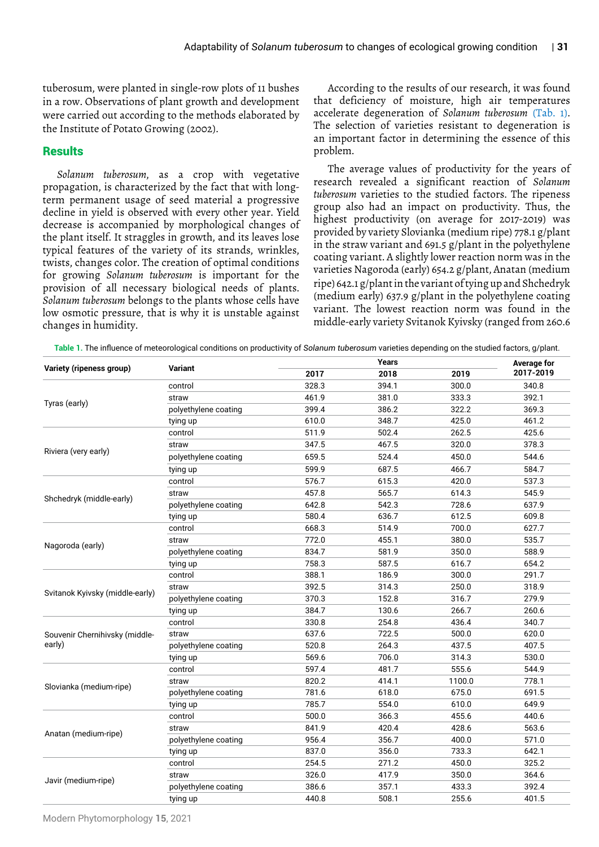tuberosum, were planted in single-row plots of 11 bushes in a row. Observations of plant growth and development were carried out according to the methods elaborated by the Institute of Potato Growing (2002).

## **Results**

*Solanum tuberosum*, as a crop with vegetative propagation, is characterized by the fact that with longterm permanent usage of seed material a progressive decline in yield is observed with every other year. Yield decrease is accompanied by morphological changes of the plant itself. It straggles in growth, and its leaves lose typical features of the variety of its strands, wrinkles, twists, changes color. The creation of optimal conditions for growing *Solanum tuberosum* is important for the provision of all necessary biological needs of plants. *Solanum tuberosum* belongs to the plants whose cells have low osmotic pressure, that is why it is unstable against changes in humidity.

According to the results of our research, it was found that deficiency of moisture, high air temperatures accelerate degeneration of *Solanum tuberosum* (Tab. 1). The selection of varieties resistant to degeneration is an important factor in determining the essence of this problem.

The average values of productivity for the years of research revealed a significant reaction of *Solanum tuberosum* varieties to the studied factors. The ripeness group also had an impact on productivity. Thus, the highest productivity (on average for 2017-2019) was provided by variety Slovianka (medium ripe) 778.1 g/plant in the straw variant and 691.5 g/plant in the polyethylene coating variant. A slightly lower reaction norm was in the varieties Nagoroda (early) 654.2 g/plant, Anatan (medium ripe) 642.1 g/plant in the variant of tying up and Shchedryk (medium early) 637.9 g/plant in the polyethylene coating variant. The lowest reaction norm was found in the middle-early variety Svitanok Kyivsky (ranged from 260.6

**Table 1.** The influence of meteorological conditions on productivity of *Solanum tuberosum* varieties depending on the studied factors, g/plant.

| Variety (ripeness group)                 | Variant              | Years |       |        | <b>Average for</b> |
|------------------------------------------|----------------------|-------|-------|--------|--------------------|
|                                          |                      | 2017  | 2018  | 2019   | 2017-2019          |
|                                          | control              | 328.3 | 394.1 | 300.0  | 340.8              |
| Tyras (early)                            | straw                | 461.9 | 381.0 | 333.3  | 392.1              |
|                                          | polyethylene coating | 399.4 | 386.2 | 322.2  | 369.3              |
|                                          | tying up             | 610.0 | 348.7 | 425.0  | 461.2              |
|                                          | control              | 511.9 | 502.4 | 262.5  | 425.6              |
| Riviera (very early)                     | straw                | 347.5 | 467.5 | 320.0  | 378.3              |
|                                          | polyethylene coating | 659.5 | 524.4 | 450.0  | 544.6              |
|                                          | tying up             | 599.9 | 687.5 | 466.7  | 584.7              |
|                                          | control              | 576.7 | 615.3 | 420.0  | 537.3              |
|                                          | straw                | 457.8 | 565.7 | 614.3  | 545.9              |
| Shchedryk (middle-early)                 | polyethylene coating | 642.8 | 542.3 | 728.6  | 637.9              |
|                                          | tying up             | 580.4 | 636.7 | 612.5  | 609.8              |
|                                          | control              | 668.3 | 514.9 | 700.0  | 627.7              |
|                                          | straw                | 772.0 | 455.1 | 380.0  | 535.7              |
| Nagoroda (early)                         | polyethylene coating | 834.7 | 581.9 | 350.0  | 588.9              |
|                                          | tying up             | 758.3 | 587.5 | 616.7  | 654.2              |
| Svitanok Kyivsky (middle-early)          | control              | 388.1 | 186.9 | 300.0  | 291.7              |
|                                          | straw                | 392.5 | 314.3 | 250.0  | 318.9              |
|                                          | polyethylene coating | 370.3 | 152.8 | 316.7  | 279.9              |
|                                          | tying up             | 384.7 | 130.6 | 266.7  | 260.6              |
| Souvenir Chernihivsky (middle-<br>early) | control              | 330.8 | 254.8 | 436.4  | 340.7              |
|                                          | straw                | 637.6 | 722.5 | 500.0  | 620.0              |
|                                          | polyethylene coating | 520.8 | 264.3 | 437.5  | 407.5              |
|                                          | tying up             | 569.6 | 706.0 | 314.3  | 530.0              |
| Slovianka (medium-ripe)                  | control              | 597.4 | 481.7 | 555.6  | 544.9              |
|                                          | straw                | 820.2 | 414.1 | 1100.0 | 778.1              |
|                                          | polyethylene coating | 781.6 | 618.0 | 675.0  | 691.5              |
|                                          | tying up             | 785.7 | 554.0 | 610.0  | 649.9              |
| Anatan (medium-ripe)                     | control              | 500.0 | 366.3 | 455.6  | 440.6              |
|                                          | straw                | 841.9 | 420.4 | 428.6  | 563.6              |
|                                          | polyethylene coating | 956.4 | 356.7 | 400.0  | 571.0              |
|                                          | tying up             | 837.0 | 356.0 | 733.3  | 642.1              |
|                                          | control              | 254.5 | 271.2 | 450.0  | 325.2              |
| Javir (medium-ripe)                      | straw                | 326.0 | 417.9 | 350.0  | 364.6              |
|                                          | polyethylene coating | 386.6 | 357.1 | 433.3  | 392.4              |
|                                          | tying up             | 440.8 | 508.1 | 255.6  | 401.5              |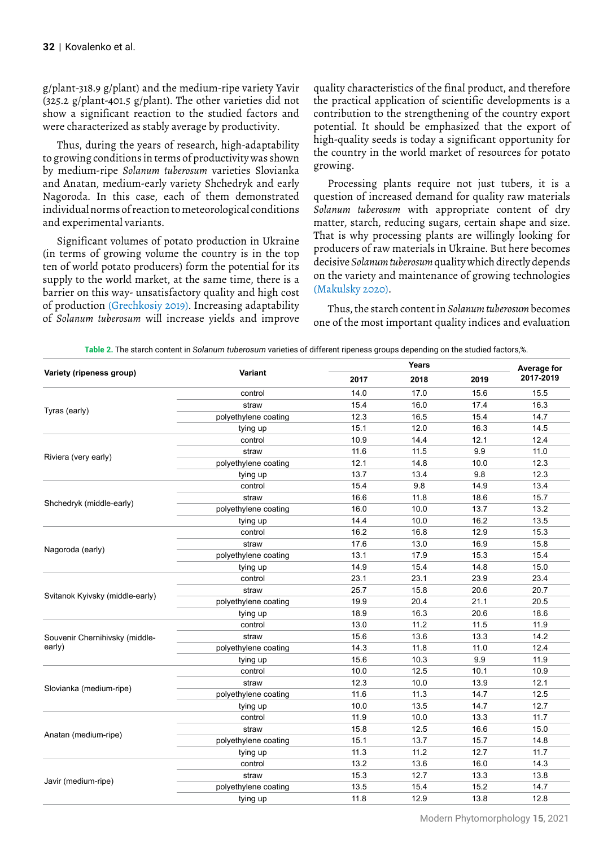g/plant-318.9 g/plant) and the medium-ripe variety Yavir (325.2 g/plant-401.5 g/plant). The other varieties did not show a significant reaction to the studied factors and were characterized as stably average by productivity.

Thus, during the years of research, high-adaptability to growing conditions in terms of productivity was shown by medium-ripe *Solanum tuberosum* varieties Slovianka and Anatan, medium-early variety Shchedryk and early Nagoroda. In this case, each of them demonstrated individual norms of reaction to meteorological conditions and experimental variants.

Significant volumes of potato production in Ukraine (in terms of growing volume the country is in the top ten of world potato producers) form the potential for its supply to the world market, at the same time, there is a barrier on this way- unsatisfactory quality and high cost of production (Grechkosiy 2019). Increasing adaptability of *Solanum tuberosum* will increase yields and improve

quality characteristics of the final product, and therefore the practical application of scientific developments is a contribution to the strengthening of the country export potential. It should be emphasized that the export of high-quality seeds is today a significant opportunity for the country in the world market of resources for potato growing.

Processing plants require not just tubers, it is a question of increased demand for quality raw materials *Solanum tuberosum* with appropriate content of dry matter, starch, reducing sugars, certain shape and size. That is why processing plants are willingly looking for producers of raw materials in Ukraine. But here becomes decisive *Solanum tuberosum* quality which directly depends on the variety and maintenance of growing technologies (Makulsky 2020).

Thus, the starch content in *Solanum tuberosum* becomes one of the most important quality indices and evaluation

**Table 2.** The starch content in *Solanum tuberosum* varieties of different ripeness groups depending on the studied factors,%.

| Variant<br>Variety (ripeness group)<br>2018<br>2017<br>14.0<br>17.0<br>control<br>16.0<br>15.4<br>straw<br>Tyras (early)<br>16.5<br>polyethylene coating<br>12.3<br>12.0<br>15.1<br>tying up<br>10.9<br>14.4<br>control<br>11.5<br>11.6<br>straw<br>Riviera (very early)<br>12.1<br>14.8<br>polyethylene coating<br>13.7<br>13.4<br>tying up<br>9.8<br>control<br>15.4<br>11.8<br>straw<br>16.6<br>Shchedryk (middle-early)<br>16.0<br>10.0<br>polyethylene coating<br>14.4<br>10.0<br>tying up<br>16.8<br>16.2<br>control<br>13.0<br>17.6<br>straw<br>Nagoroda (early)<br>17.9<br>polyethylene coating<br>13.1<br>15.4<br>14.9<br>tying up<br>23.1<br>23.1<br>control<br>15.8<br>25.7<br>straw<br>Svitanok Kyivsky (middle-early)<br>19.9<br>20.4<br>polyethylene coating | 2019<br>15.6<br>17.4<br>15.4<br>16.3 | Average for<br>2017-2019<br>15.5<br>16.3 |
|----------------------------------------------------------------------------------------------------------------------------------------------------------------------------------------------------------------------------------------------------------------------------------------------------------------------------------------------------------------------------------------------------------------------------------------------------------------------------------------------------------------------------------------------------------------------------------------------------------------------------------------------------------------------------------------------------------------------------------------------------------------------------|--------------------------------------|------------------------------------------|
|                                                                                                                                                                                                                                                                                                                                                                                                                                                                                                                                                                                                                                                                                                                                                                            |                                      |                                          |
|                                                                                                                                                                                                                                                                                                                                                                                                                                                                                                                                                                                                                                                                                                                                                                            |                                      |                                          |
|                                                                                                                                                                                                                                                                                                                                                                                                                                                                                                                                                                                                                                                                                                                                                                            |                                      |                                          |
|                                                                                                                                                                                                                                                                                                                                                                                                                                                                                                                                                                                                                                                                                                                                                                            |                                      | 14.7                                     |
|                                                                                                                                                                                                                                                                                                                                                                                                                                                                                                                                                                                                                                                                                                                                                                            |                                      | 14.5                                     |
|                                                                                                                                                                                                                                                                                                                                                                                                                                                                                                                                                                                                                                                                                                                                                                            | 12.1                                 | 12.4                                     |
|                                                                                                                                                                                                                                                                                                                                                                                                                                                                                                                                                                                                                                                                                                                                                                            | 9.9                                  | 11.0                                     |
|                                                                                                                                                                                                                                                                                                                                                                                                                                                                                                                                                                                                                                                                                                                                                                            | 10.0                                 | 12.3                                     |
|                                                                                                                                                                                                                                                                                                                                                                                                                                                                                                                                                                                                                                                                                                                                                                            | 9.8                                  | 12.3                                     |
|                                                                                                                                                                                                                                                                                                                                                                                                                                                                                                                                                                                                                                                                                                                                                                            | 14.9                                 | 13.4                                     |
|                                                                                                                                                                                                                                                                                                                                                                                                                                                                                                                                                                                                                                                                                                                                                                            | 18.6                                 | 15.7                                     |
|                                                                                                                                                                                                                                                                                                                                                                                                                                                                                                                                                                                                                                                                                                                                                                            | 13.7                                 | 13.2                                     |
|                                                                                                                                                                                                                                                                                                                                                                                                                                                                                                                                                                                                                                                                                                                                                                            | 16.2                                 | 13.5                                     |
|                                                                                                                                                                                                                                                                                                                                                                                                                                                                                                                                                                                                                                                                                                                                                                            | 12.9                                 | 15.3                                     |
|                                                                                                                                                                                                                                                                                                                                                                                                                                                                                                                                                                                                                                                                                                                                                                            | 16.9                                 | 15.8                                     |
|                                                                                                                                                                                                                                                                                                                                                                                                                                                                                                                                                                                                                                                                                                                                                                            | 15.3                                 | 15.4                                     |
|                                                                                                                                                                                                                                                                                                                                                                                                                                                                                                                                                                                                                                                                                                                                                                            | 14.8                                 | 15.0                                     |
|                                                                                                                                                                                                                                                                                                                                                                                                                                                                                                                                                                                                                                                                                                                                                                            | 23.9                                 | 23.4                                     |
|                                                                                                                                                                                                                                                                                                                                                                                                                                                                                                                                                                                                                                                                                                                                                                            | 20.6                                 | 20.7                                     |
|                                                                                                                                                                                                                                                                                                                                                                                                                                                                                                                                                                                                                                                                                                                                                                            | 21.1                                 | 20.5                                     |
| 18.9<br>16.3<br>tying up                                                                                                                                                                                                                                                                                                                                                                                                                                                                                                                                                                                                                                                                                                                                                   | 20.6                                 | 18.6                                     |
| 13.0<br>11.2<br>control                                                                                                                                                                                                                                                                                                                                                                                                                                                                                                                                                                                                                                                                                                                                                    | 11.5                                 | 11.9                                     |
| 13.6<br>15.6<br>straw<br>Souvenir Chernihivsky (middle-                                                                                                                                                                                                                                                                                                                                                                                                                                                                                                                                                                                                                                                                                                                    | 13.3                                 | 14.2                                     |
| early)<br>11.8<br>polyethylene coating<br>14.3                                                                                                                                                                                                                                                                                                                                                                                                                                                                                                                                                                                                                                                                                                                             | 11.0                                 | 12.4                                     |
| 15.6<br>10.3<br>tying up                                                                                                                                                                                                                                                                                                                                                                                                                                                                                                                                                                                                                                                                                                                                                   | 9.9                                  | 11.9                                     |
| 12.5<br>control<br>10.0                                                                                                                                                                                                                                                                                                                                                                                                                                                                                                                                                                                                                                                                                                                                                    | 10.1                                 | 10.9                                     |
| 12.3<br>10.0<br>straw                                                                                                                                                                                                                                                                                                                                                                                                                                                                                                                                                                                                                                                                                                                                                      | 13.9                                 | 12.1                                     |
| Slovianka (medium-ripe)<br>11.3<br>polyethylene coating<br>11.6                                                                                                                                                                                                                                                                                                                                                                                                                                                                                                                                                                                                                                                                                                            | 14.7                                 | 12.5                                     |
| 13.5<br>10.0<br>tying up                                                                                                                                                                                                                                                                                                                                                                                                                                                                                                                                                                                                                                                                                                                                                   | 14.7                                 | 12.7                                     |
| 11.9<br>10.0<br>control                                                                                                                                                                                                                                                                                                                                                                                                                                                                                                                                                                                                                                                                                                                                                    | 13.3                                 | 11.7                                     |
| 15.8<br>12.5<br>straw                                                                                                                                                                                                                                                                                                                                                                                                                                                                                                                                                                                                                                                                                                                                                      | 16.6                                 | 15.0                                     |
| Anatan (medium-ripe)<br>13.7<br>polyethylene coating<br>15.1                                                                                                                                                                                                                                                                                                                                                                                                                                                                                                                                                                                                                                                                                                               | 15.7                                 | 14.8                                     |
| 11.3<br>11.2<br>tying up                                                                                                                                                                                                                                                                                                                                                                                                                                                                                                                                                                                                                                                                                                                                                   | 12.7                                 | 11.7                                     |
| 13.2<br>13.6<br>control                                                                                                                                                                                                                                                                                                                                                                                                                                                                                                                                                                                                                                                                                                                                                    | 16.0                                 | 14.3                                     |
| 12.7<br>15.3<br>straw                                                                                                                                                                                                                                                                                                                                                                                                                                                                                                                                                                                                                                                                                                                                                      | 13.3                                 | 13.8                                     |
| Javir (medium-ripe)<br>13.5<br>15.4<br>polyethylene coating                                                                                                                                                                                                                                                                                                                                                                                                                                                                                                                                                                                                                                                                                                                |                                      | 14.7                                     |
| 11.8<br>12.9<br>13.8<br>tying up                                                                                                                                                                                                                                                                                                                                                                                                                                                                                                                                                                                                                                                                                                                                           | 15.2                                 |                                          |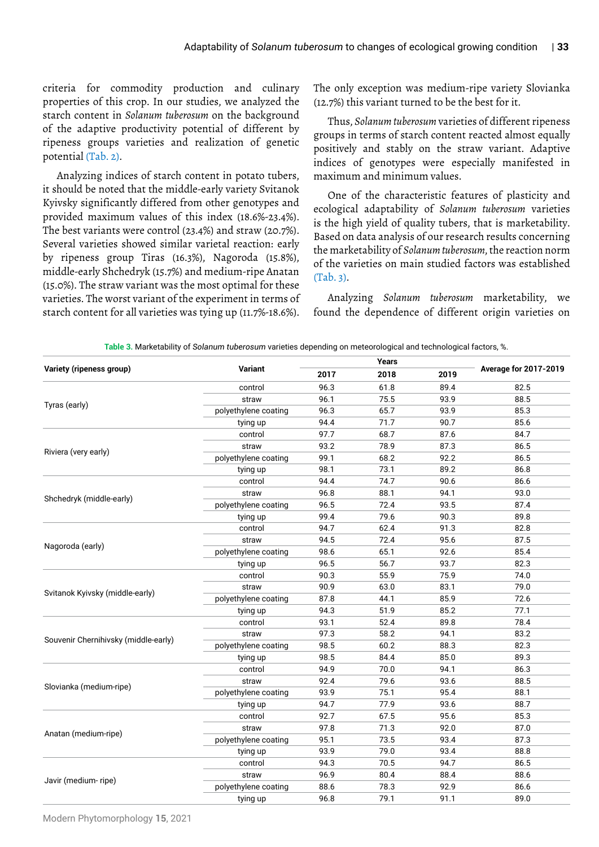criteria for commodity production and culinary properties of this crop. In our studies, we analyzed the starch content in *Solanum tuberosum* on the background of the adaptive productivity potential of different by ripeness groups varieties and realization of genetic potential (Tab. 2).

Analyzing indices of starch content in potato tubers, it should be noted that the middle-early variety Svitanok Kyivsky significantly differed from other genotypes and provided maximum values of this index (18.6%-23.4%). The best variants were control (23.4%) and straw (20.7%). Several varieties showed similar varietal reaction: early by ripeness group Tiras (16.3%), Nagoroda (15.8%), middle-early Shchedryk (15.7%) and medium-ripe Anatan (15.0%). The straw variant was the most optimal for these varieties. The worst variant of the experiment in terms of starch content for all varieties was tying up (11.7%-18.6%).

The only exception was medium-ripe variety Slovianka (12.7%) this variant turned to be the best for it.

Thus, *Solanum tuberosum* varieties of different ripeness groups in terms of starch content reacted almost equally positively and stably on the straw variant. Adaptive indices of genotypes were especially manifested in maximum and minimum values.

One of the characteristic features of plasticity and ecological adaptability of *Solanum tuberosum* varieties is the high yield of quality tubers, that is marketability. Based on data analysis of our research results concerning the marketability of *Solanum tuberosum*, the reaction norm of the varieties on main studied factors was established  $(Tab. 3)$ .

Analyzing *Solanum tuberosum* marketability, we found the dependence of different origin varieties on

|                                      |                      | Years |      |      |                              |  |
|--------------------------------------|----------------------|-------|------|------|------------------------------|--|
| Variety (ripeness group)             | Variant              | 2017  | 2018 | 2019 | <b>Average for 2017-2019</b> |  |
|                                      | control              | 96.3  | 61.8 | 89.4 | 82.5                         |  |
| Tyras (early)                        | straw                | 96.1  | 75.5 | 93.9 | 88.5                         |  |
|                                      | polyethylene coating | 96.3  | 65.7 | 93.9 | 85.3                         |  |
|                                      | tying up             | 94.4  | 71.7 | 90.7 | 85.6                         |  |
|                                      | control              | 97.7  | 68.7 | 87.6 | 84.7                         |  |
|                                      | straw                | 93.2  | 78.9 | 87.3 | 86.5                         |  |
| Riviera (very early)                 | polyethylene coating | 99.1  | 68.2 | 92.2 | 86.5                         |  |
|                                      | tying up             | 98.1  | 73.1 | 89.2 | 86.8                         |  |
|                                      | control              | 94.4  | 74.7 | 90.6 | 86.6                         |  |
|                                      | straw                | 96.8  | 88.1 | 94.1 | 93.0                         |  |
| Shchedryk (middle-early)             | polyethylene coating | 96.5  | 72.4 | 93.5 | 87.4                         |  |
|                                      | tying up             | 99.4  | 79.6 | 90.3 | 89.8                         |  |
|                                      | control              | 94.7  | 62.4 | 91.3 | 82.8                         |  |
| Nagoroda (early)                     | straw                | 94.5  | 72.4 | 95.6 | 87.5                         |  |
|                                      | polyethylene coating | 98.6  | 65.1 | 92.6 | 85.4                         |  |
|                                      | tying up             | 96.5  | 56.7 | 93.7 | 82.3                         |  |
|                                      | control              | 90.3  | 55.9 | 75.9 | 74.0                         |  |
| Svitanok Kyivsky (middle-early)      | straw                | 90.9  | 63.0 | 83.1 | 79.0                         |  |
|                                      | polyethylene coating | 87.8  | 44.1 | 85.9 | 72.6                         |  |
|                                      | tying up             | 94.3  | 51.9 | 85.2 | 77.1                         |  |
|                                      | control              | 93.1  | 52.4 | 89.8 | 78.4                         |  |
| Souvenir Chernihivsky (middle-early) | straw                | 97.3  | 58.2 | 94.1 | 83.2                         |  |
|                                      | polyethylene coating | 98.5  | 60.2 | 88.3 | 82.3                         |  |
|                                      | tying up             | 98.5  | 84.4 | 85.0 | 89.3                         |  |
|                                      | control              | 94.9  | 70.0 | 94.1 | 86.3                         |  |
| Slovianka (medium-ripe)              | straw                | 92.4  | 79.6 | 93.6 | 88.5                         |  |
|                                      | polyethylene coating | 93.9  | 75.1 | 95.4 | 88.1                         |  |
|                                      | tying up             | 94.7  | 77.9 | 93.6 | 88.7                         |  |
|                                      | control              | 92.7  | 67.5 | 95.6 | 85.3                         |  |
|                                      | straw                | 97.8  | 71.3 | 92.0 | 87.0                         |  |
| Anatan (medium-ripe)                 | polyethylene coating | 95.1  | 73.5 | 93.4 | 87.3                         |  |
|                                      | tying up             | 93.9  | 79.0 | 93.4 | 88.8                         |  |
|                                      | control              | 94.3  | 70.5 | 94.7 | 86.5                         |  |
| Javir (medium-ripe)                  | straw                | 96.9  | 80.4 | 88.4 | 88.6                         |  |
|                                      | polyethylene coating | 88.6  | 78.3 | 92.9 | 86.6                         |  |
|                                      | tying up             | 96.8  | 79.1 | 91.1 | 89.0                         |  |
|                                      |                      |       |      |      |                              |  |

**Table 3.** Marketability of *Solanum tuberosum* varieties depending on meteorological and technological factors, %.